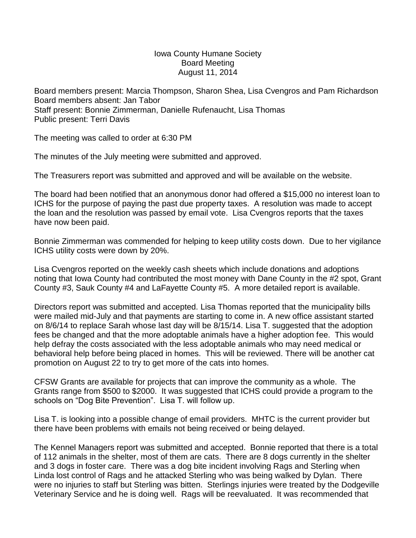## Iowa County Humane Society Board Meeting August 11, 2014

Board members present: Marcia Thompson, Sharon Shea, Lisa Cvengros and Pam Richardson Board members absent: Jan Tabor Staff present: Bonnie Zimmerman, Danielle Rufenaucht, Lisa Thomas Public present: Terri Davis

The meeting was called to order at 6:30 PM

The minutes of the July meeting were submitted and approved.

The Treasurers report was submitted and approved and will be available on the website.

The board had been notified that an anonymous donor had offered a \$15,000 no interest loan to ICHS for the purpose of paying the past due property taxes. A resolution was made to accept the loan and the resolution was passed by email vote. Lisa Cvengros reports that the taxes have now been paid.

Bonnie Zimmerman was commended for helping to keep utility costs down. Due to her vigilance ICHS utility costs were down by 20%.

Lisa Cvengros reported on the weekly cash sheets which include donations and adoptions noting that Iowa County had contributed the most money with Dane County in the #2 spot, Grant County #3, Sauk County #4 and LaFayette County #5. A more detailed report is available.

Directors report was submitted and accepted. Lisa Thomas reported that the municipality bills were mailed mid-July and that payments are starting to come in. A new office assistant started on 8/6/14 to replace Sarah whose last day will be 8/15/14. Lisa T. suggested that the adoption fees be changed and that the more adoptable animals have a higher adoption fee. This would help defray the costs associated with the less adoptable animals who may need medical or behavioral help before being placed in homes. This will be reviewed. There will be another cat promotion on August 22 to try to get more of the cats into homes.

CFSW Grants are available for projects that can improve the community as a whole. The Grants range from \$500 to \$2000. It was suggested that ICHS could provide a program to the schools on "Dog Bite Prevention". Lisa T. will follow up.

Lisa T. is looking into a possible change of email providers. MHTC is the current provider but there have been problems with emails not being received or being delayed.

The Kennel Managers report was submitted and accepted. Bonnie reported that there is a total of 112 animals in the shelter, most of them are cats. There are 8 dogs currently in the shelter and 3 dogs in foster care. There was a dog bite incident involving Rags and Sterling when Linda lost control of Rags and he attacked Sterling who was being walked by Dylan. There were no injuries to staff but Sterling was bitten. Sterlings injuries were treated by the Dodgeville Veterinary Service and he is doing well. Rags will be reevaluated. It was recommended that